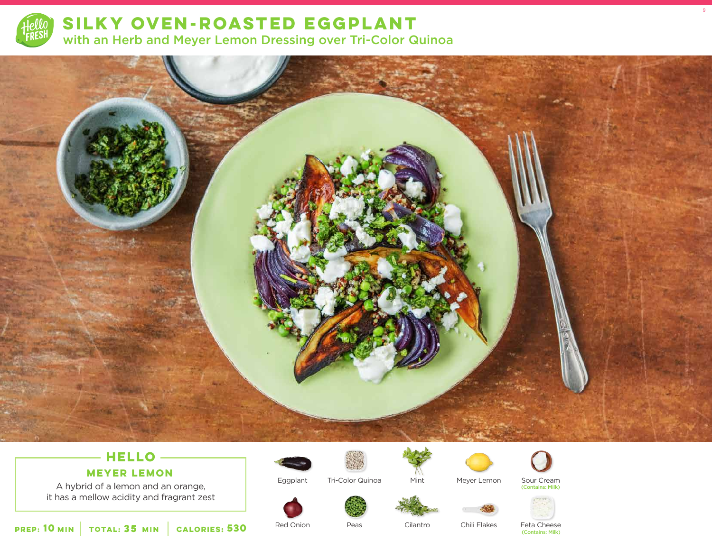

**SILKY OVEN-ROASTED EGGPLANT** with an Herb and Meyer Lemon Dressing over Tri-Color Quinoa



# **HELLO**

### **MEYER LEMON**

A hybrid of a lemon and an orange, it has a mellow acidity and fragrant zest





Tri-Color Quinoa



Meyer Lemon

Sour Cream (Contains: Milk)

9



**10** MIN | TOTAL: **35** MIN | CALORIES:

Red Onion

Eggplant

Peas

Cilantro

Mint

Chili Flakes

Feta Cheese<br>(Contains: Milk) **530** (Contains: Milk)